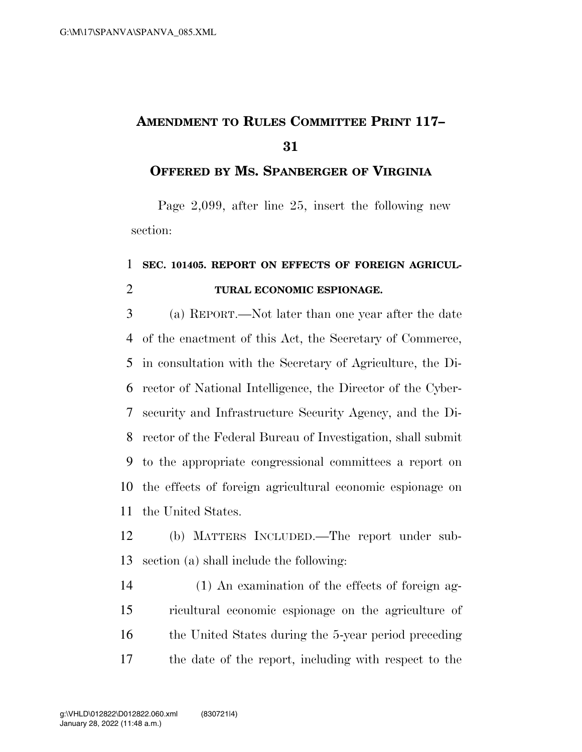## **AMENDMENT TO RULES COMMITTEE PRINT 117–**

## **OFFERED BY MS. SPANBERGER OF VIRGINIA**

Page 2,099, after line 25, insert the following new section:

## **SEC. 101405. REPORT ON EFFECTS OF FOREIGN AGRICUL-TURAL ECONOMIC ESPIONAGE.**

 (a) REPORT.—Not later than one year after the date of the enactment of this Act, the Secretary of Commerce, in consultation with the Secretary of Agriculture, the Di- rector of National Intelligence, the Director of the Cyber- security and Infrastructure Security Agency, and the Di- rector of the Federal Bureau of Investigation, shall submit to the appropriate congressional committees a report on the effects of foreign agricultural economic espionage on the United States.

 (b) MATTERS INCLUDED.—The report under sub-section (a) shall include the following:

 (1) An examination of the effects of foreign ag- ricultural economic espionage on the agriculture of 16 the United States during the 5-year period preceding the date of the report, including with respect to the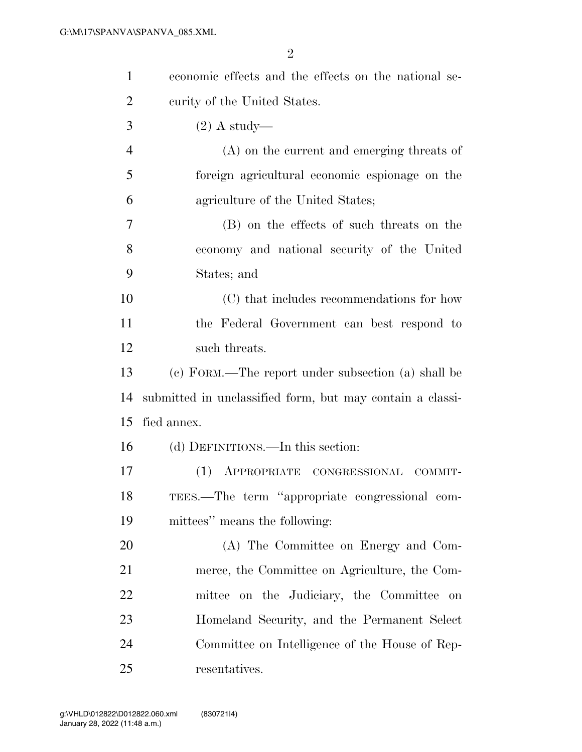| $\mathbf{1}$   | economic effects and the effects on the national se-      |
|----------------|-----------------------------------------------------------|
| $\overline{2}$ | curity of the United States.                              |
| 3              | $(2)$ A study—                                            |
| $\overline{4}$ | (A) on the current and emerging threats of                |
| 5              | foreign agricultural economic espionage on the            |
| 6              | agriculture of the United States;                         |
| 7              | (B) on the effects of such threats on the                 |
| 8              | economy and national security of the United               |
| 9              | States; and                                               |
| 10             | (C) that includes recommendations for how                 |
| 11             | the Federal Government can best respond to                |
| 12             | such threats.                                             |
| 13             | (c) FORM.—The report under subsection (a) shall be        |
| 14             | submitted in unclassified form, but may contain a classi- |
| 15             | fied annex.                                               |
| 16             | (d) DEFINITIONS.—In this section:                         |
| 17             | (1) APPROPRIATE CONGRESSIONAL<br>COMMIT-                  |
| 18             | TEES.—The term "appropriate congressional com-            |
| 19             | mittees" means the following:                             |
| 20             | (A) The Committee on Energy and Com-                      |
| 21             | merce, the Committee on Agriculture, the Com-             |
| 22             | mittee on the Judiciary, the Committee on                 |
| 23             | Homeland Security, and the Permanent Select               |
| 24             | Committee on Intelligence of the House of Rep-            |
| 25             | resentatives.                                             |